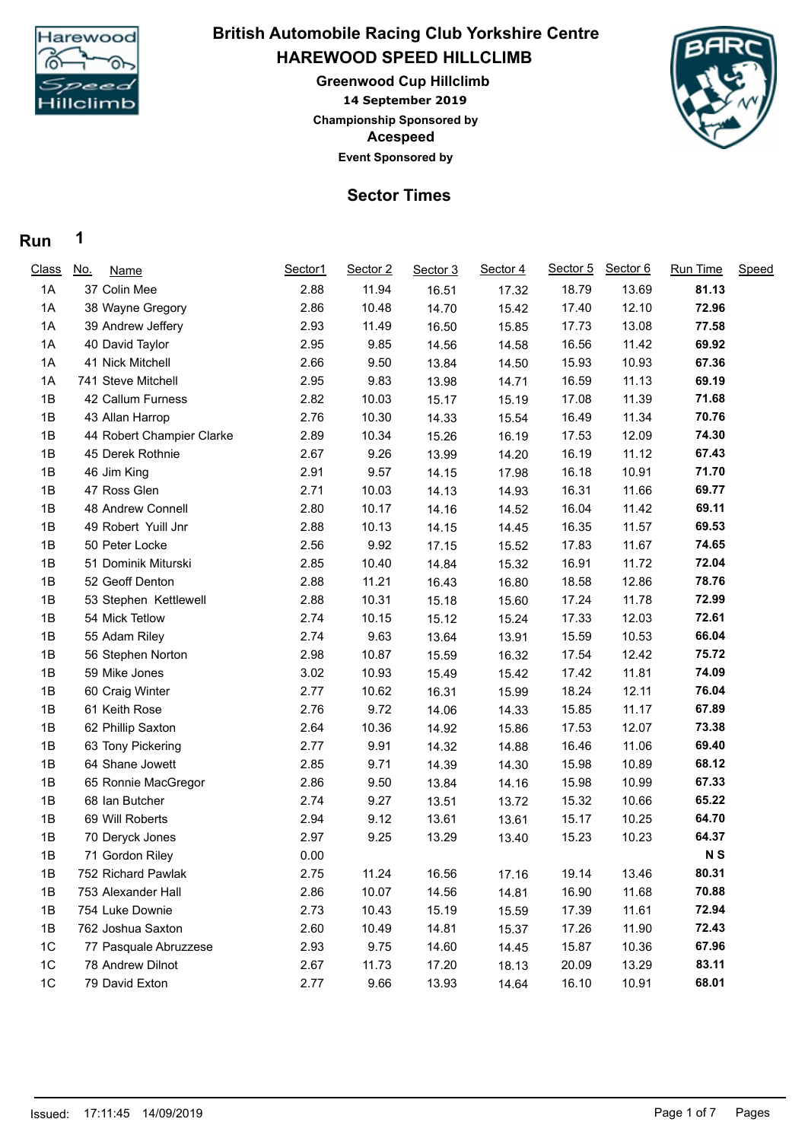

## **HAREWOOD SPEED HILLCLIMB British Automobile Racing Club Yorkshire Centre**

**14 September 2019 Greenwood Cup Hillclimb Acespeed Event Sponsored by Championship Sponsored by**



### **Sector Times**

#### **Run 1**

| <b>Class</b> | <u>No.</u><br><b>Name</b> | Sector1 | Sector 2 | Sector 3 | Sector 4 | Sector 5 | Sector 6 | <b>Run Time</b> | Speed |
|--------------|---------------------------|---------|----------|----------|----------|----------|----------|-----------------|-------|
| 1A           | 37 Colin Mee              | 2.88    | 11.94    | 16.51    | 17.32    | 18.79    | 13.69    | 81.13           |       |
| 1A           | 38 Wayne Gregory          | 2.86    | 10.48    | 14.70    | 15.42    | 17.40    | 12.10    | 72.96           |       |
| 1A           | 39 Andrew Jeffery         | 2.93    | 11.49    | 16.50    | 15.85    | 17.73    | 13.08    | 77.58           |       |
| 1A           | 40 David Taylor           | 2.95    | 9.85     | 14.56    | 14.58    | 16.56    | 11.42    | 69.92           |       |
| 1A           | 41 Nick Mitchell          | 2.66    | 9.50     | 13.84    | 14.50    | 15.93    | 10.93    | 67.36           |       |
| 1A           | 741 Steve Mitchell        | 2.95    | 9.83     | 13.98    | 14.71    | 16.59    | 11.13    | 69.19           |       |
| 1B           | 42 Callum Furness         | 2.82    | 10.03    | 15.17    | 15.19    | 17.08    | 11.39    | 71.68           |       |
| 1B           | 43 Allan Harrop           | 2.76    | 10.30    | 14.33    | 15.54    | 16.49    | 11.34    | 70.76           |       |
| 1B           | 44 Robert Champier Clarke | 2.89    | 10.34    | 15.26    | 16.19    | 17.53    | 12.09    | 74.30           |       |
| 1B           | 45 Derek Rothnie          | 2.67    | 9.26     | 13.99    | 14.20    | 16.19    | 11.12    | 67.43           |       |
| 1B           | 46 Jim King               | 2.91    | 9.57     | 14.15    | 17.98    | 16.18    | 10.91    | 71.70           |       |
| 1B           | 47 Ross Glen              | 2.71    | 10.03    | 14.13    | 14.93    | 16.31    | 11.66    | 69.77           |       |
| 1B           | 48 Andrew Connell         | 2.80    | 10.17    | 14.16    | 14.52    | 16.04    | 11.42    | 69.11           |       |
| 1B           | 49 Robert Yuill Jnr       | 2.88    | 10.13    | 14.15    | 14.45    | 16.35    | 11.57    | 69.53           |       |
| 1B           | 50 Peter Locke            | 2.56    | 9.92     | 17.15    | 15.52    | 17.83    | 11.67    | 74.65           |       |
| 1B           | 51 Dominik Miturski       | 2.85    | 10.40    | 14.84    | 15.32    | 16.91    | 11.72    | 72.04           |       |
| 1B           | 52 Geoff Denton           | 2.88    | 11.21    | 16.43    | 16.80    | 18.58    | 12.86    | 78.76           |       |
| 1B           | 53 Stephen Kettlewell     | 2.88    | 10.31    | 15.18    | 15.60    | 17.24    | 11.78    | 72.99           |       |
| 1B           | 54 Mick Tetlow            | 2.74    | 10.15    | 15.12    | 15.24    | 17.33    | 12.03    | 72.61           |       |
| 1B           | 55 Adam Riley             | 2.74    | 9.63     | 13.64    | 13.91    | 15.59    | 10.53    | 66.04           |       |
| 1B           | 56 Stephen Norton         | 2.98    | 10.87    | 15.59    | 16.32    | 17.54    | 12.42    | 75.72           |       |
| 1B           | 59 Mike Jones             | 3.02    | 10.93    | 15.49    | 15.42    | 17.42    | 11.81    | 74.09           |       |
| 1B           | 60 Craig Winter           | 2.77    | 10.62    | 16.31    | 15.99    | 18.24    | 12.11    | 76.04           |       |
| 1B           | 61 Keith Rose             | 2.76    | 9.72     | 14.06    | 14.33    | 15.85    | 11.17    | 67.89           |       |
| 1B           | 62 Phillip Saxton         | 2.64    | 10.36    | 14.92    | 15.86    | 17.53    | 12.07    | 73.38           |       |
| 1B           | 63 Tony Pickering         | 2.77    | 9.91     | 14.32    | 14.88    | 16.46    | 11.06    | 69.40           |       |
| 1B           | 64 Shane Jowett           | 2.85    | 9.71     | 14.39    | 14.30    | 15.98    | 10.89    | 68.12           |       |
| 1B           | 65 Ronnie MacGregor       | 2.86    | 9.50     | 13.84    | 14.16    | 15.98    | 10.99    | 67.33           |       |
| 1B           | 68 Ian Butcher            | 2.74    | 9.27     | 13.51    | 13.72    | 15.32    | 10.66    | 65.22           |       |
| 1B           | 69 Will Roberts           | 2.94    | 9.12     | 13.61    | 13.61    | 15.17    | 10.25    | 64.70           |       |
| 1B           | 70 Deryck Jones           | 2.97    | 9.25     | 13.29    | 13.40    | 15.23    | 10.23    | 64.37           |       |
| 1B           | 71 Gordon Riley           | 0.00    |          |          |          |          |          | N <sub>S</sub>  |       |
| 1B           | 752 Richard Pawlak        | 2.75    | 11.24    | 16.56    | 17.16    | 19.14    | 13.46    | 80.31           |       |
| 1B           | 753 Alexander Hall        | 2.86    | 10.07    | 14.56    | 14.81    | 16.90    | 11.68    | 70.88           |       |
| 1B           | 754 Luke Downie           | 2.73    | 10.43    | 15.19    | 15.59    | 17.39    | 11.61    | 72.94           |       |
| 1B           | 762 Joshua Saxton         | 2.60    | 10.49    | 14.81    | 15.37    | 17.26    | 11.90    | 72.43           |       |
| $1C$         | 77 Pasquale Abruzzese     | 2.93    | 9.75     | 14.60    | 14.45    | 15.87    | 10.36    | 67.96           |       |
| 1C           | 78 Andrew Dilnot          | 2.67    | 11.73    | 17.20    | 18.13    | 20.09    | 13.29    | 83.11           |       |
| 1C           | 79 David Exton            | 2.77    | 9.66     | 13.93    | 14.64    | 16.10    | 10.91    | 68.01           |       |
|              |                           |         |          |          |          |          |          |                 |       |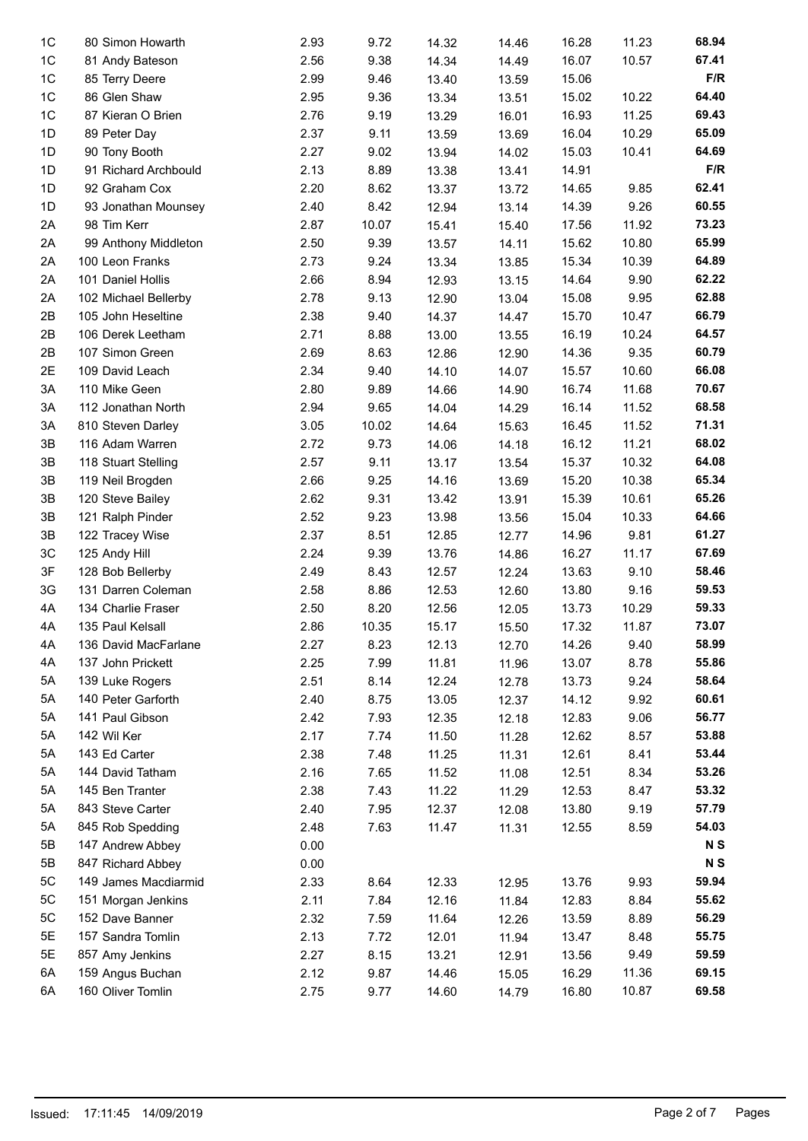| 1 <sup>C</sup> | 80 Simon Howarth     | 2.93 | 9.72  | 14.32 | 14.46 | 16.28 | 11.23 | 68.94          |
|----------------|----------------------|------|-------|-------|-------|-------|-------|----------------|
| 1C             | 81 Andy Bateson      | 2.56 | 9.38  | 14.34 | 14.49 | 16.07 | 10.57 | 67.41          |
| 1C             | 85 Terry Deere       | 2.99 | 9.46  | 13.40 | 13.59 | 15.06 |       | F/R            |
| 1C             | 86 Glen Shaw         | 2.95 | 9.36  | 13.34 | 13.51 | 15.02 | 10.22 | 64.40          |
| 1 <sup>C</sup> | 87 Kieran O Brien    | 2.76 | 9.19  | 13.29 | 16.01 | 16.93 | 11.25 | 69.43          |
| 1D             | 89 Peter Day         | 2.37 | 9.11  | 13.59 | 13.69 | 16.04 | 10.29 | 65.09          |
| 1D             | 90 Tony Booth        | 2.27 | 9.02  | 13.94 | 14.02 | 15.03 | 10.41 | 64.69          |
| 1D             | 91 Richard Archbould | 2.13 | 8.89  | 13.38 | 13.41 | 14.91 |       | F/R            |
| 1D             | 92 Graham Cox        | 2.20 | 8.62  | 13.37 | 13.72 | 14.65 | 9.85  | 62.41          |
| 1D             | 93 Jonathan Mounsey  | 2.40 | 8.42  | 12.94 | 13.14 | 14.39 | 9.26  | 60.55          |
| 2A             | 98 Tim Kerr          | 2.87 | 10.07 | 15.41 | 15.40 | 17.56 | 11.92 | 73.23          |
| 2A             | 99 Anthony Middleton | 2.50 | 9.39  |       |       | 15.62 | 10.80 | 65.99          |
|                |                      |      |       | 13.57 | 14.11 |       |       |                |
| 2A             | 100 Leon Franks      | 2.73 | 9.24  | 13.34 | 13.85 | 15.34 | 10.39 | 64.89          |
| 2A             | 101 Daniel Hollis    | 2.66 | 8.94  | 12.93 | 13.15 | 14.64 | 9.90  | 62.22          |
| 2A             | 102 Michael Bellerby | 2.78 | 9.13  | 12.90 | 13.04 | 15.08 | 9.95  | 62.88          |
| 2B             | 105 John Heseltine   | 2.38 | 9.40  | 14.37 | 14.47 | 15.70 | 10.47 | 66.79          |
| 2B             | 106 Derek Leetham    | 2.71 | 8.88  | 13.00 | 13.55 | 16.19 | 10.24 | 64.57          |
| 2B             | 107 Simon Green      | 2.69 | 8.63  | 12.86 | 12.90 | 14.36 | 9.35  | 60.79          |
| 2E             | 109 David Leach      | 2.34 | 9.40  | 14.10 | 14.07 | 15.57 | 10.60 | 66.08          |
| 3A             | 110 Mike Geen        | 2.80 | 9.89  | 14.66 | 14.90 | 16.74 | 11.68 | 70.67          |
| 3A             | 112 Jonathan North   | 2.94 | 9.65  | 14.04 | 14.29 | 16.14 | 11.52 | 68.58          |
| 3A             | 810 Steven Darley    | 3.05 | 10.02 | 14.64 | 15.63 | 16.45 | 11.52 | 71.31          |
| 3B             | 116 Adam Warren      | 2.72 | 9.73  | 14.06 | 14.18 | 16.12 | 11.21 | 68.02          |
| 3B             | 118 Stuart Stelling  | 2.57 | 9.11  | 13.17 | 13.54 | 15.37 | 10.32 | 64.08          |
| 3B             | 119 Neil Brogden     | 2.66 | 9.25  | 14.16 | 13.69 | 15.20 | 10.38 | 65.34          |
| 3B             | 120 Steve Bailey     | 2.62 | 9.31  | 13.42 | 13.91 | 15.39 | 10.61 | 65.26          |
| 3B             | 121 Ralph Pinder     | 2.52 | 9.23  | 13.98 | 13.56 | 15.04 | 10.33 | 64.66          |
| 3B             | 122 Tracey Wise      | 2.37 | 8.51  | 12.85 | 12.77 | 14.96 | 9.81  | 61.27          |
| 3C             | 125 Andy Hill        | 2.24 | 9.39  | 13.76 | 14.86 | 16.27 | 11.17 | 67.69          |
| 3F             | 128 Bob Bellerby     | 2.49 | 8.43  | 12.57 | 12.24 | 13.63 | 9.10  | 58.46          |
| 3G             | 131 Darren Coleman   | 2.58 | 8.86  | 12.53 | 12.60 | 13.80 | 9.16  | 59.53          |
| 4A             | 134 Charlie Fraser   | 2.50 | 8.20  | 12.56 | 12.05 | 13.73 | 10.29 | 59.33          |
| 4A             | 135 Paul Kelsall     | 2.86 | 10.35 | 15.17 | 15.50 | 17.32 | 11.87 | 73.07          |
| 4A             | 136 David MacFarlane | 2.27 | 8.23  | 12.13 | 12.70 | 14.26 | 9.40  | 58.99          |
| 4A             | 137 John Prickett    | 2.25 | 7.99  | 11.81 | 11.96 | 13.07 | 8.78  | 55.86          |
| 5A             | 139 Luke Rogers      | 2.51 | 8.14  | 12.24 | 12.78 | 13.73 | 9.24  | 58.64          |
| 5A             | 140 Peter Garforth   | 2.40 | 8.75  | 13.05 | 12.37 | 14.12 | 9.92  | 60.61          |
| 5A             | 141 Paul Gibson      | 2.42 | 7.93  | 12.35 | 12.18 | 12.83 | 9.06  | 56.77          |
| 5A             | 142 Wil Ker          | 2.17 | 7.74  | 11.50 | 11.28 | 12.62 | 8.57  | 53.88          |
| 5A             | 143 Ed Carter        | 2.38 | 7.48  | 11.25 | 11.31 | 12.61 | 8.41  | 53.44          |
| 5A             | 144 David Tatham     | 2.16 | 7.65  | 11.52 | 11.08 | 12.51 | 8.34  | 53.26          |
| 5A             | 145 Ben Tranter      | 2.38 | 7.43  | 11.22 | 11.29 | 12.53 | 8.47  | 53.32          |
| 5A             | 843 Steve Carter     | 2.40 | 7.95  | 12.37 | 12.08 | 13.80 | 9.19  | 57.79          |
| 5A             | 845 Rob Spedding     | 2.48 | 7.63  | 11.47 | 11.31 | 12.55 | 8.59  | 54.03          |
| 5B             | 147 Andrew Abbey     | 0.00 |       |       |       |       |       | N <sub>S</sub> |
| 5B             | 847 Richard Abbey    | 0.00 |       |       |       |       |       | N <sub>S</sub> |
| 5C             | 149 James Macdiarmid | 2.33 | 8.64  | 12.33 | 12.95 | 13.76 | 9.93  | 59.94          |
| 5C             | 151 Morgan Jenkins   | 2.11 | 7.84  | 12.16 | 11.84 | 12.83 | 8.84  | 55.62          |
| 5C             | 152 Dave Banner      | 2.32 | 7.59  | 11.64 | 12.26 | 13.59 | 8.89  | 56.29          |
| 5E             | 157 Sandra Tomlin    | 2.13 | 7.72  | 12.01 | 11.94 | 13.47 | 8.48  | 55.75          |
| 5E             | 857 Amy Jenkins      | 2.27 | 8.15  | 13.21 | 12.91 | 13.56 | 9.49  | 59.59          |
| 6A             | 159 Angus Buchan     | 2.12 | 9.87  |       |       | 16.29 | 11.36 | 69.15          |
| 6A             |                      |      |       | 14.46 | 15.05 |       |       |                |
|                | 160 Oliver Tomlin    | 2.75 | 9.77  | 14.60 | 14.79 | 16.80 | 10.87 | 69.58          |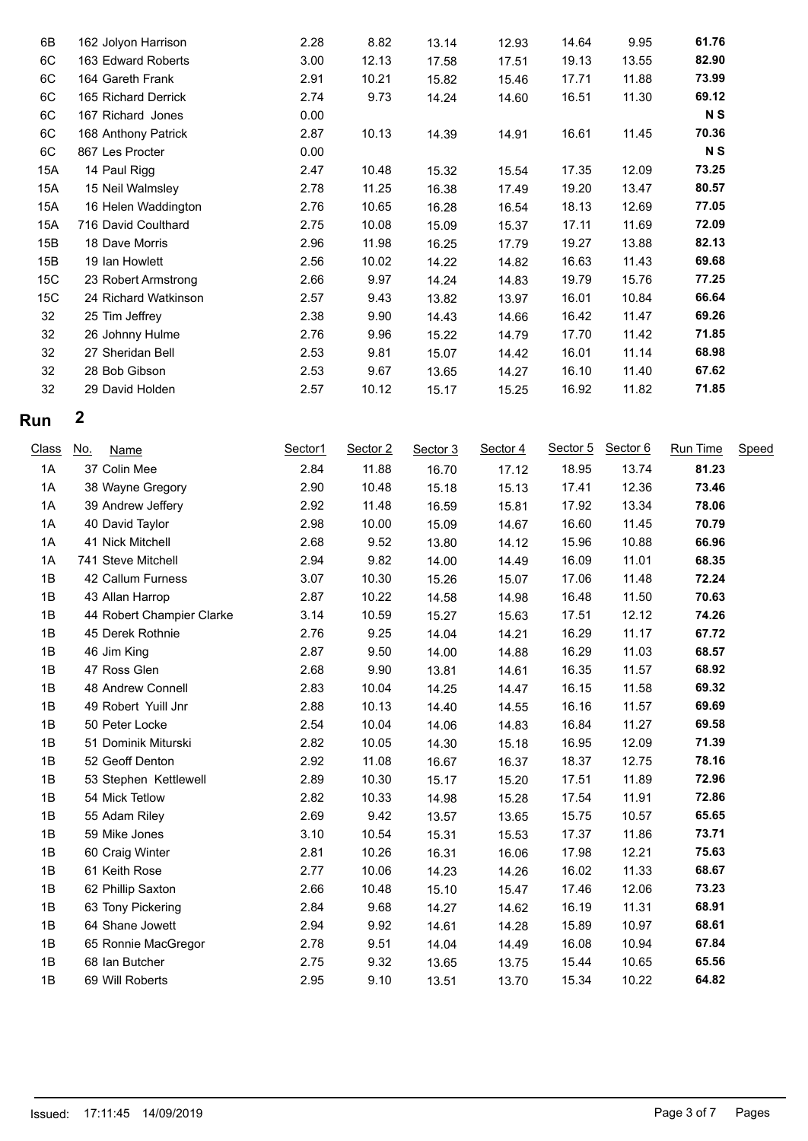| 6B  | 162 Jolyon Harrison  | 2.28 | 8.82  | 13.14 | 12.93 | 14.64 | 9.95  | 61.76 |
|-----|----------------------|------|-------|-------|-------|-------|-------|-------|
| 6C  | 163 Edward Roberts   | 3.00 | 12.13 | 17.58 | 17.51 | 19.13 | 13.55 | 82.90 |
| 6C  | 164 Gareth Frank     | 2.91 | 10.21 | 15.82 | 15.46 | 17.71 | 11.88 | 73.99 |
| 6C  | 165 Richard Derrick  | 2.74 | 9.73  | 14.24 | 14.60 | 16.51 | 11.30 | 69.12 |
| 6C  | 167 Richard Jones    | 0.00 |       |       |       |       |       | N S   |
| 6C  | 168 Anthony Patrick  | 2.87 | 10.13 | 14.39 | 14.91 | 16.61 | 11.45 | 70.36 |
| 6C  | 867 Les Procter      | 0.00 |       |       |       |       |       | N S   |
| 15A | 14 Paul Rigg         | 2.47 | 10.48 | 15.32 | 15.54 | 17.35 | 12.09 | 73.25 |
| 15A | 15 Neil Walmsley     | 2.78 | 11.25 | 16.38 | 17.49 | 19.20 | 13.47 | 80.57 |
| 15A | 16 Helen Waddington  | 2.76 | 10.65 | 16.28 | 16.54 | 18.13 | 12.69 | 77.05 |
| 15A | 716 David Coulthard  | 2.75 | 10.08 | 15.09 | 15.37 | 17.11 | 11.69 | 72.09 |
| 15B | 18 Dave Morris       | 2.96 | 11.98 | 16.25 | 17.79 | 19.27 | 13.88 | 82.13 |
| 15B | 19 Ian Howlett       | 2.56 | 10.02 | 14.22 | 14.82 | 16.63 | 11.43 | 69.68 |
| 15C | 23 Robert Armstrong  | 2.66 | 9.97  | 14.24 | 14.83 | 19.79 | 15.76 | 77.25 |
| 15C | 24 Richard Watkinson | 2.57 | 9.43  | 13.82 | 13.97 | 16.01 | 10.84 | 66.64 |
| 32  | 25 Tim Jeffrey       | 2.38 | 9.90  | 14.43 | 14.66 | 16.42 | 11.47 | 69.26 |
| 32  | 26 Johnny Hulme      | 2.76 | 9.96  | 15.22 | 14.79 | 17.70 | 11.42 | 71.85 |
| 32  | 27 Sheridan Bell     | 2.53 | 9.81  | 15.07 | 14.42 | 16.01 | 11.14 | 68.98 |
| 32  | 28 Bob Gibson        | 2.53 | 9.67  | 13.65 | 14.27 | 16.10 | 11.40 | 67.62 |
| 32  | 29 David Holden      | 2.57 | 10.12 | 15.17 | 15.25 | 16.92 | 11.82 | 71.85 |
|     |                      |      |       |       |       |       |       |       |

### **Run 2**

| <b>Class</b> | <u>No.</u><br>Name        | Sector1 | Sector 2 | Sector 3 | Sector 4 | Sector 5 | Sector 6 | <b>Run Time</b> | Speed |
|--------------|---------------------------|---------|----------|----------|----------|----------|----------|-----------------|-------|
| 1A           | 37 Colin Mee              | 2.84    | 11.88    | 16.70    | 17.12    | 18.95    | 13.74    | 81.23           |       |
| 1A           | 38 Wayne Gregory          | 2.90    | 10.48    | 15.18    | 15.13    | 17.41    | 12.36    | 73.46           |       |
| 1A           | 39 Andrew Jeffery         | 2.92    | 11.48    | 16.59    | 15.81    | 17.92    | 13.34    | 78.06           |       |
| 1A           | 40 David Taylor           | 2.98    | 10.00    | 15.09    | 14.67    | 16.60    | 11.45    | 70.79           |       |
| 1A           | 41 Nick Mitchell          | 2.68    | 9.52     | 13.80    | 14.12    | 15.96    | 10.88    | 66.96           |       |
| 1A           | 741 Steve Mitchell        | 2.94    | 9.82     | 14.00    | 14.49    | 16.09    | 11.01    | 68.35           |       |
| 1B           | 42 Callum Furness         | 3.07    | 10.30    | 15.26    | 15.07    | 17.06    | 11.48    | 72.24           |       |
| 1B           | 43 Allan Harrop           | 2.87    | 10.22    | 14.58    | 14.98    | 16.48    | 11.50    | 70.63           |       |
| 1B           | 44 Robert Champier Clarke | 3.14    | 10.59    | 15.27    | 15.63    | 17.51    | 12.12    | 74.26           |       |
| 1B           | 45 Derek Rothnie          | 2.76    | 9.25     | 14.04    | 14.21    | 16.29    | 11.17    | 67.72           |       |
| 1B           | 46 Jim King               | 2.87    | 9.50     | 14.00    | 14.88    | 16.29    | 11.03    | 68.57           |       |
| 1B           | 47 Ross Glen              | 2.68    | 9.90     | 13.81    | 14.61    | 16.35    | 11.57    | 68.92           |       |
| 1B           | 48 Andrew Connell         | 2.83    | 10.04    | 14.25    | 14.47    | 16.15    | 11.58    | 69.32           |       |
| 1B           | 49 Robert Yuill Jnr       | 2.88    | 10.13    | 14.40    | 14.55    | 16.16    | 11.57    | 69.69           |       |
| 1B           | 50 Peter Locke            | 2.54    | 10.04    | 14.06    | 14.83    | 16.84    | 11.27    | 69.58           |       |
| 1B           | 51 Dominik Miturski       | 2.82    | 10.05    | 14.30    | 15.18    | 16.95    | 12.09    | 71.39           |       |
| 1B           | 52 Geoff Denton           | 2.92    | 11.08    | 16.67    | 16.37    | 18.37    | 12.75    | 78.16           |       |
| 1B           | 53 Stephen Kettlewell     | 2.89    | 10.30    | 15.17    | 15.20    | 17.51    | 11.89    | 72.96           |       |
| 1B           | 54 Mick Tetlow            | 2.82    | 10.33    | 14.98    | 15.28    | 17.54    | 11.91    | 72.86           |       |
| 1B           | 55 Adam Riley             | 2.69    | 9.42     | 13.57    | 13.65    | 15.75    | 10.57    | 65.65           |       |
| 1B           | 59 Mike Jones             | 3.10    | 10.54    | 15.31    | 15.53    | 17.37    | 11.86    | 73.71           |       |
| 1B           | 60 Craig Winter           | 2.81    | 10.26    | 16.31    | 16.06    | 17.98    | 12.21    | 75.63           |       |
| 1B           | 61 Keith Rose             | 2.77    | 10.06    | 14.23    | 14.26    | 16.02    | 11.33    | 68.67           |       |
| 1B           | 62 Phillip Saxton         | 2.66    | 10.48    | 15.10    | 15.47    | 17.46    | 12.06    | 73.23           |       |
| 1B           | 63 Tony Pickering         | 2.84    | 9.68     | 14.27    | 14.62    | 16.19    | 11.31    | 68.91           |       |
| 1B           | 64 Shane Jowett           | 2.94    | 9.92     | 14.61    | 14.28    | 15.89    | 10.97    | 68.61           |       |
| 1B           | 65 Ronnie MacGregor       | 2.78    | 9.51     | 14.04    | 14.49    | 16.08    | 10.94    | 67.84           |       |
| 1B           | 68 Ian Butcher            | 2.75    | 9.32     | 13.65    | 13.75    | 15.44    | 10.65    | 65.56           |       |
| 1B           | 69 Will Roberts           | 2.95    | 9.10     | 13.51    | 13.70    | 15.34    | 10.22    | 64.82           |       |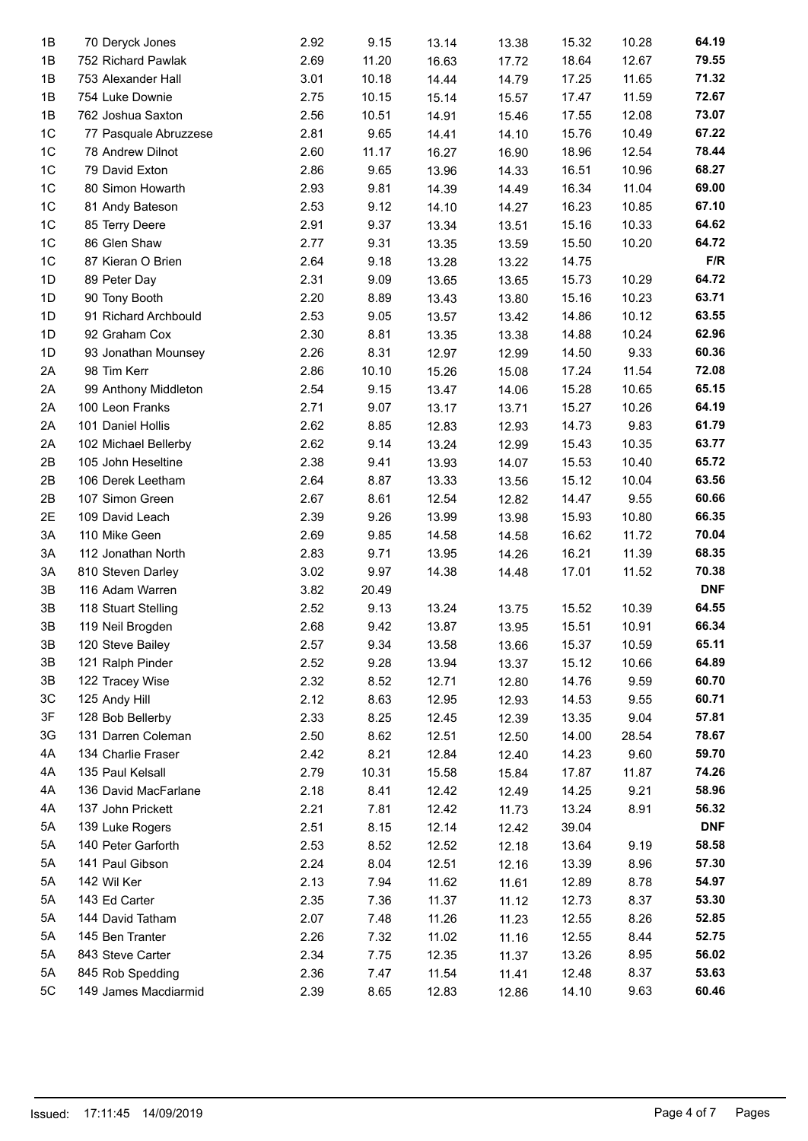| 1B             | 70 Deryck Jones       | 2.92 | 9.15  | 13.14 | 13.38 | 15.32 | 10.28 | 64.19      |
|----------------|-----------------------|------|-------|-------|-------|-------|-------|------------|
| 1B             | 752 Richard Pawlak    | 2.69 | 11.20 | 16.63 | 17.72 | 18.64 | 12.67 | 79.55      |
| 1B             | 753 Alexander Hall    | 3.01 | 10.18 | 14.44 | 14.79 | 17.25 | 11.65 | 71.32      |
| 1B             | 754 Luke Downie       | 2.75 | 10.15 | 15.14 | 15.57 | 17.47 | 11.59 | 72.67      |
| 1B             | 762 Joshua Saxton     | 2.56 | 10.51 | 14.91 | 15.46 | 17.55 | 12.08 | 73.07      |
| 1C             | 77 Pasquale Abruzzese | 2.81 | 9.65  | 14.41 | 14.10 | 15.76 | 10.49 | 67.22      |
| $1C$           | 78 Andrew Dilnot      | 2.60 | 11.17 | 16.27 | 16.90 | 18.96 | 12.54 | 78.44      |
| $1C$           | 79 David Exton        | 2.86 | 9.65  | 13.96 | 14.33 | 16.51 | 10.96 | 68.27      |
| $1C$           | 80 Simon Howarth      | 2.93 | 9.81  | 14.39 | 14.49 | 16.34 | 11.04 | 69.00      |
| $1C$           | 81 Andy Bateson       | 2.53 | 9.12  | 14.10 | 14.27 | 16.23 | 10.85 | 67.10      |
| 1C             | 85 Terry Deere        | 2.91 | 9.37  | 13.34 | 13.51 | 15.16 | 10.33 | 64.62      |
| $1C$           | 86 Glen Shaw          | 2.77 | 9.31  | 13.35 | 13.59 | 15.50 | 10.20 | 64.72      |
| 1 <sup>C</sup> | 87 Kieran O Brien     | 2.64 | 9.18  | 13.28 | 13.22 | 14.75 |       | F/R        |
| 1D             | 89 Peter Day          | 2.31 | 9.09  | 13.65 | 13.65 | 15.73 | 10.29 | 64.72      |
| 1D             | 90 Tony Booth         | 2.20 | 8.89  | 13.43 | 13.80 | 15.16 | 10.23 | 63.71      |
| 1D             | 91 Richard Archbould  | 2.53 | 9.05  | 13.57 | 13.42 | 14.86 | 10.12 | 63.55      |
| 1D             | 92 Graham Cox         | 2.30 | 8.81  | 13.35 | 13.38 | 14.88 | 10.24 | 62.96      |
| 1D             | 93 Jonathan Mounsey   | 2.26 | 8.31  | 12.97 | 12.99 | 14.50 | 9.33  | 60.36      |
| 2A             | 98 Tim Kerr           | 2.86 | 10.10 | 15.26 | 15.08 | 17.24 | 11.54 | 72.08      |
| 2A             | 99 Anthony Middleton  | 2.54 | 9.15  | 13.47 | 14.06 | 15.28 | 10.65 | 65.15      |
| 2A             | 100 Leon Franks       | 2.71 | 9.07  | 13.17 | 13.71 | 15.27 | 10.26 | 64.19      |
| 2A             | 101 Daniel Hollis     | 2.62 | 8.85  | 12.83 | 12.93 | 14.73 | 9.83  | 61.79      |
| 2A             | 102 Michael Bellerby  | 2.62 | 9.14  | 13.24 | 12.99 | 15.43 | 10.35 | 63.77      |
| 2B             | 105 John Heseltine    | 2.38 | 9.41  | 13.93 | 14.07 | 15.53 | 10.40 | 65.72      |
| 2B             | 106 Derek Leetham     | 2.64 | 8.87  | 13.33 | 13.56 | 15.12 | 10.04 | 63.56      |
| 2B             | 107 Simon Green       | 2.67 | 8.61  | 12.54 | 12.82 | 14.47 | 9.55  | 60.66      |
| 2E             | 109 David Leach       | 2.39 | 9.26  | 13.99 | 13.98 | 15.93 | 10.80 | 66.35      |
| 3A             | 110 Mike Geen         | 2.69 | 9.85  | 14.58 | 14.58 | 16.62 | 11.72 | 70.04      |
| 3A             | 112 Jonathan North    | 2.83 | 9.71  | 13.95 | 14.26 | 16.21 | 11.39 | 68.35      |
| 3A             | 810 Steven Darley     | 3.02 | 9.97  | 14.38 | 14.48 | 17.01 | 11.52 | 70.38      |
| 3B             | 116 Adam Warren       | 3.82 | 20.49 |       |       |       |       | <b>DNF</b> |
| 3B             | 118 Stuart Stelling   | 2.52 | 9.13  | 13.24 | 13.75 | 15.52 | 10.39 | 64.55      |
| 3B             | 119 Neil Brogden      | 2.68 | 9.42  | 13.87 | 13.95 | 15.51 | 10.91 | 66.34      |
| $3\mathsf{B}$  | 120 Steve Bailey      | 2.57 | 9.34  | 13.58 | 13.66 | 15.37 | 10.59 | 65.11      |
| 3B             | 121 Ralph Pinder      | 2.52 | 9.28  | 13.94 | 13.37 | 15.12 | 10.66 | 64.89      |
| 3B             | 122 Tracey Wise       | 2.32 | 8.52  | 12.71 | 12.80 | 14.76 | 9.59  | 60.70      |
| 3C             | 125 Andy Hill         | 2.12 | 8.63  | 12.95 | 12.93 | 14.53 | 9.55  | 60.71      |
| 3F             | 128 Bob Bellerby      | 2.33 | 8.25  | 12.45 | 12.39 | 13.35 | 9.04  | 57.81      |
| 3G             | 131 Darren Coleman    | 2.50 | 8.62  | 12.51 | 12.50 | 14.00 | 28.54 | 78.67      |
| 4A             | 134 Charlie Fraser    | 2.42 | 8.21  | 12.84 | 12.40 | 14.23 | 9.60  | 59.70      |
| 4A             | 135 Paul Kelsall      | 2.79 | 10.31 | 15.58 | 15.84 | 17.87 | 11.87 | 74.26      |
| 4A             | 136 David MacFarlane  | 2.18 | 8.41  | 12.42 | 12.49 | 14.25 | 9.21  | 58.96      |
| 4A             | 137 John Prickett     | 2.21 | 7.81  | 12.42 | 11.73 | 13.24 | 8.91  | 56.32      |
| 5A             | 139 Luke Rogers       | 2.51 | 8.15  | 12.14 | 12.42 | 39.04 |       | <b>DNF</b> |
| 5A             | 140 Peter Garforth    | 2.53 | 8.52  | 12.52 | 12.18 | 13.64 | 9.19  | 58.58      |
| 5A             | 141 Paul Gibson       | 2.24 | 8.04  | 12.51 | 12.16 | 13.39 | 8.96  | 57.30      |
| 5A             | 142 Wil Ker           | 2.13 | 7.94  | 11.62 | 11.61 | 12.89 | 8.78  | 54.97      |
| 5A             | 143 Ed Carter         | 2.35 | 7.36  | 11.37 | 11.12 | 12.73 | 8.37  | 53.30      |
| 5A             | 144 David Tatham      | 2.07 | 7.48  | 11.26 | 11.23 | 12.55 | 8.26  | 52.85      |
| 5A             | 145 Ben Tranter       | 2.26 | 7.32  | 11.02 | 11.16 | 12.55 | 8.44  | 52.75      |
| 5A             | 843 Steve Carter      | 2.34 | 7.75  | 12.35 | 11.37 | 13.26 | 8.95  | 56.02      |
| 5A             | 845 Rob Spedding      | 2.36 | 7.47  | 11.54 | 11.41 | 12.48 | 8.37  | 53.63      |
| 5C             | 149 James Macdiarmid  | 2.39 | 8.65  | 12.83 | 12.86 | 14.10 | 9.63  | 60.46      |
|                |                       |      |       |       |       |       |       |            |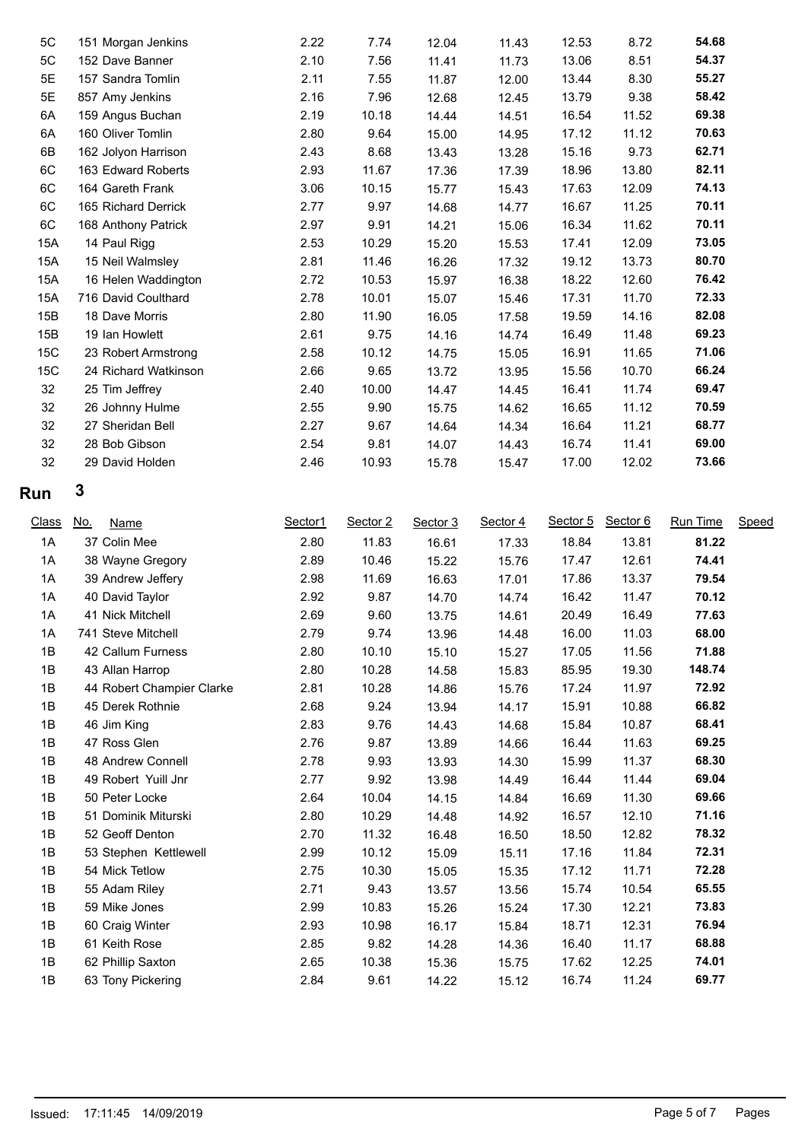| 5C  | 151 Morgan Jenkins   | 2.22 | 7.74  | 12.04 | 11.43 | 12.53 | 8.72  | 54.68 |  |
|-----|----------------------|------|-------|-------|-------|-------|-------|-------|--|
| 5C  | 152 Dave Banner      | 2.10 | 7.56  | 11.41 | 11.73 | 13.06 | 8.51  | 54.37 |  |
| 5E  | 157 Sandra Tomlin    | 2.11 | 7.55  | 11.87 | 12.00 | 13.44 | 8.30  | 55.27 |  |
| 5E  | 857 Amy Jenkins      | 2.16 | 7.96  | 12.68 | 12.45 | 13.79 | 9.38  | 58.42 |  |
| 6A  | 159 Angus Buchan     | 2.19 | 10.18 | 14.44 | 14.51 | 16.54 | 11.52 | 69.38 |  |
| 6A  | 160 Oliver Tomlin    | 2.80 | 9.64  | 15.00 | 14.95 | 17.12 | 11.12 | 70.63 |  |
| 6B  | 162 Jolyon Harrison  | 2.43 | 8.68  | 13.43 | 13.28 | 15.16 | 9.73  | 62.71 |  |
| 6C  | 163 Edward Roberts   | 2.93 | 11.67 | 17.36 | 17.39 | 18.96 | 13.80 | 82.11 |  |
| 6C  | 164 Gareth Frank     | 3.06 | 10.15 | 15.77 | 15.43 | 17.63 | 12.09 | 74.13 |  |
| 6C  | 165 Richard Derrick  | 2.77 | 9.97  | 14.68 | 14.77 | 16.67 | 11.25 | 70.11 |  |
| 6C  | 168 Anthony Patrick  | 2.97 | 9.91  | 14.21 | 15.06 | 16.34 | 11.62 | 70.11 |  |
| 15A | 14 Paul Rigg         | 2.53 | 10.29 | 15.20 | 15.53 | 17.41 | 12.09 | 73.05 |  |
| 15A | 15 Neil Walmsley     | 2.81 | 11.46 | 16.26 | 17.32 | 19.12 | 13.73 | 80.70 |  |
| 15A | 16 Helen Waddington  | 2.72 | 10.53 | 15.97 | 16.38 | 18.22 | 12.60 | 76.42 |  |
| 15A | 716 David Coulthard  | 2.78 | 10.01 | 15.07 | 15.46 | 17.31 | 11.70 | 72.33 |  |
| 15B | 18 Dave Morris       | 2.80 | 11.90 | 16.05 | 17.58 | 19.59 | 14.16 | 82.08 |  |
| 15B | 19 Ian Howlett       | 2.61 | 9.75  | 14.16 | 14.74 | 16.49 | 11.48 | 69.23 |  |
| 15C | 23 Robert Armstrong  | 2.58 | 10.12 | 14.75 | 15.05 | 16.91 | 11.65 | 71.06 |  |
| 15C | 24 Richard Watkinson | 2.66 | 9.65  | 13.72 | 13.95 | 15.56 | 10.70 | 66.24 |  |
| 32  | 25 Tim Jeffrey       | 2.40 | 10.00 | 14.47 | 14.45 | 16.41 | 11.74 | 69.47 |  |
| 32  | 26 Johnny Hulme      | 2.55 | 9.90  | 15.75 | 14.62 | 16.65 | 11.12 | 70.59 |  |
| 32  | 27 Sheridan Bell     | 2.27 | 9.67  | 14.64 | 14.34 | 16.64 | 11.21 | 68.77 |  |
| 32  | 28 Bob Gibson        | 2.54 | 9.81  | 14.07 | 14.43 | 16.74 | 11.41 | 69.00 |  |
| 32  | 29 David Holden      | 2.46 | 10.93 | 15.78 | 15.47 | 17.00 | 12.02 | 73.66 |  |
|     |                      |      |       |       |       |       |       |       |  |

# **Run 3**

| <b>Class</b> | No.<br>Name               | Sector1 | Sector 2 | Sector 3 | Sector 4 | Sector 5 | Sector 6 | <b>Run Time</b> | Speed |
|--------------|---------------------------|---------|----------|----------|----------|----------|----------|-----------------|-------|
| 1A           | 37 Colin Mee              | 2.80    | 11.83    | 16.61    | 17.33    | 18.84    | 13.81    | 81.22           |       |
| 1A           | 38 Wayne Gregory          | 2.89    | 10.46    | 15.22    | 15.76    | 17.47    | 12.61    | 74.41           |       |
| 1A           | 39 Andrew Jeffery         | 2.98    | 11.69    | 16.63    | 17.01    | 17.86    | 13.37    | 79.54           |       |
| 1A           | 40 David Taylor           | 2.92    | 9.87     | 14.70    | 14.74    | 16.42    | 11.47    | 70.12           |       |
| 1A           | 41 Nick Mitchell          | 2.69    | 9.60     | 13.75    | 14.61    | 20.49    | 16.49    | 77.63           |       |
| 1A           | 741 Steve Mitchell        | 2.79    | 9.74     | 13.96    | 14.48    | 16.00    | 11.03    | 68.00           |       |
| 1B           | 42 Callum Furness         | 2.80    | 10.10    | 15.10    | 15.27    | 17.05    | 11.56    | 71.88           |       |
| 1B           | 43 Allan Harrop           | 2.80    | 10.28    | 14.58    | 15.83    | 85.95    | 19.30    | 148.74          |       |
| 1B           | 44 Robert Champier Clarke | 2.81    | 10.28    | 14.86    | 15.76    | 17.24    | 11.97    | 72.92           |       |
| 1B           | 45 Derek Rothnie          | 2.68    | 9.24     | 13.94    | 14.17    | 15.91    | 10.88    | 66.82           |       |
| 1B           | 46 Jim King               | 2.83    | 9.76     | 14.43    | 14.68    | 15.84    | 10.87    | 68.41           |       |
| 1B           | 47 Ross Glen              | 2.76    | 9.87     | 13.89    | 14.66    | 16.44    | 11.63    | 69.25           |       |
| 1B           | 48 Andrew Connell         | 2.78    | 9.93     | 13.93    | 14.30    | 15.99    | 11.37    | 68.30           |       |
| 1B           | 49 Robert Yuill Jnr       | 2.77    | 9.92     | 13.98    | 14.49    | 16.44    | 11.44    | 69.04           |       |
| 1B           | 50 Peter Locke            | 2.64    | 10.04    | 14.15    | 14.84    | 16.69    | 11.30    | 69.66           |       |
| 1B           | 51 Dominik Miturski       | 2.80    | 10.29    | 14.48    | 14.92    | 16.57    | 12.10    | 71.16           |       |
| 1B           | 52 Geoff Denton           | 2.70    | 11.32    | 16.48    | 16.50    | 18.50    | 12.82    | 78.32           |       |
| 1B           | 53 Stephen Kettlewell     | 2.99    | 10.12    | 15.09    | 15.11    | 17.16    | 11.84    | 72.31           |       |
| 1B           | 54 Mick Tetlow            | 2.75    | 10.30    | 15.05    | 15.35    | 17.12    | 11.71    | 72.28           |       |
| 1B           | 55 Adam Riley             | 2.71    | 9.43     | 13.57    | 13.56    | 15.74    | 10.54    | 65.55           |       |
| 1B           | 59 Mike Jones             | 2.99    | 10.83    | 15.26    | 15.24    | 17.30    | 12.21    | 73.83           |       |
| 1B           | 60 Craig Winter           | 2.93    | 10.98    | 16.17    | 15.84    | 18.71    | 12.31    | 76.94           |       |
| 1B           | 61 Keith Rose             | 2.85    | 9.82     | 14.28    | 14.36    | 16.40    | 11.17    | 68.88           |       |
| 1B           | 62 Phillip Saxton         | 2.65    | 10.38    | 15.36    | 15.75    | 17.62    | 12.25    | 74.01           |       |
| 1B           | 63 Tony Pickering         | 2.84    | 9.61     | 14.22    | 15.12    | 16.74    | 11.24    | 69.77           |       |
|              |                           |         |          |          |          |          |          |                 |       |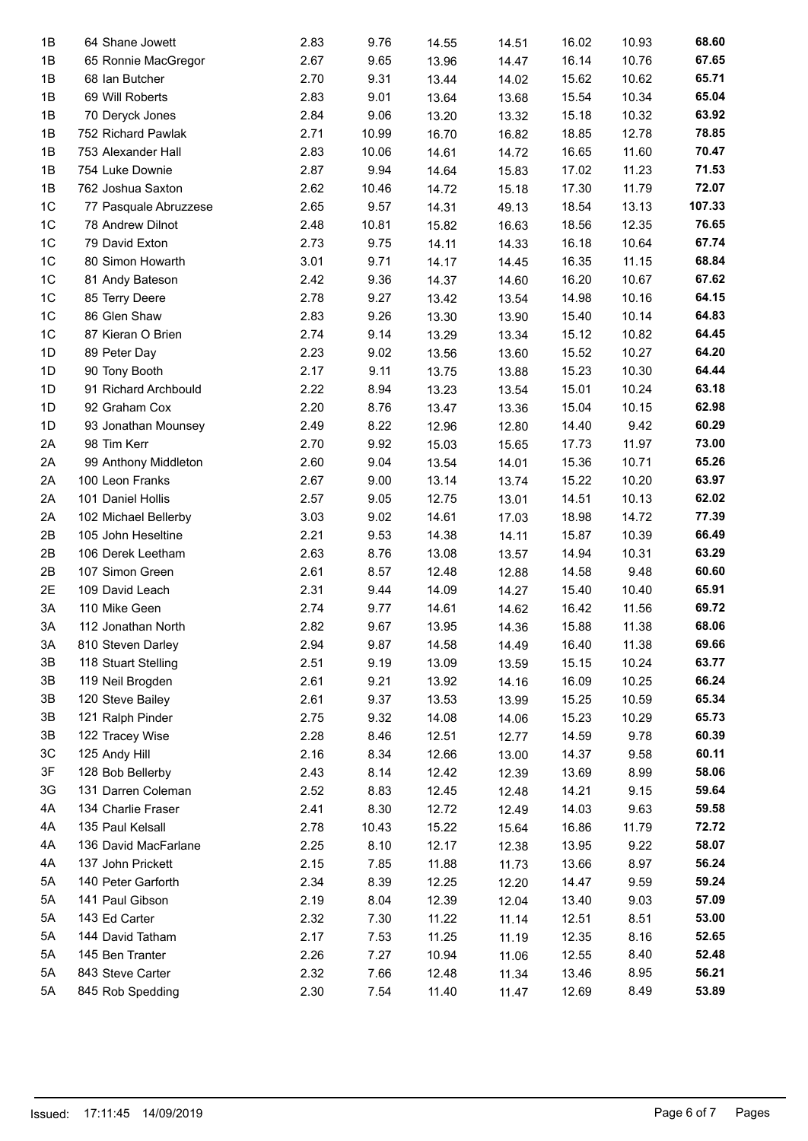| 1B             | 64 Shane Jowett       | 2.83 | 9.76  | 14.55 | 14.51 | 16.02 | 10.93 | 68.60  |
|----------------|-----------------------|------|-------|-------|-------|-------|-------|--------|
| 1B             | 65 Ronnie MacGregor   | 2.67 | 9.65  | 13.96 | 14.47 | 16.14 | 10.76 | 67.65  |
| 1B             | 68 Ian Butcher        | 2.70 | 9.31  | 13.44 | 14.02 | 15.62 | 10.62 | 65.71  |
| 1B             | 69 Will Roberts       | 2.83 | 9.01  | 13.64 | 13.68 | 15.54 | 10.34 | 65.04  |
| 1B             | 70 Deryck Jones       | 2.84 | 9.06  | 13.20 | 13.32 | 15.18 | 10.32 | 63.92  |
| 1B             | 752 Richard Pawlak    | 2.71 | 10.99 | 16.70 | 16.82 | 18.85 | 12.78 | 78.85  |
| 1B             | 753 Alexander Hall    | 2.83 | 10.06 | 14.61 | 14.72 | 16.65 | 11.60 | 70.47  |
| 1B             | 754 Luke Downie       | 2.87 | 9.94  | 14.64 | 15.83 | 17.02 | 11.23 | 71.53  |
| 1B             | 762 Joshua Saxton     | 2.62 | 10.46 | 14.72 | 15.18 | 17.30 | 11.79 | 72.07  |
| 1 <sup>C</sup> | 77 Pasquale Abruzzese | 2.65 | 9.57  | 14.31 | 49.13 | 18.54 | 13.13 | 107.33 |
| 1 <sup>C</sup> | 78 Andrew Dilnot      | 2.48 | 10.81 | 15.82 | 16.63 | 18.56 | 12.35 | 76.65  |
| 1 <sup>C</sup> | 79 David Exton        | 2.73 |       |       |       | 16.18 | 10.64 | 67.74  |
|                |                       |      | 9.75  | 14.11 | 14.33 |       |       |        |
| 1 <sup>C</sup> | 80 Simon Howarth      | 3.01 | 9.71  | 14.17 | 14.45 | 16.35 | 11.15 | 68.84  |
| 1 <sup>C</sup> | 81 Andy Bateson       | 2.42 | 9.36  | 14.37 | 14.60 | 16.20 | 10.67 | 67.62  |
| 1 <sup>C</sup> | 85 Terry Deere        | 2.78 | 9.27  | 13.42 | 13.54 | 14.98 | 10.16 | 64.15  |
| 1 <sup>C</sup> | 86 Glen Shaw          | 2.83 | 9.26  | 13.30 | 13.90 | 15.40 | 10.14 | 64.83  |
| 1 <sup>C</sup> | 87 Kieran O Brien     | 2.74 | 9.14  | 13.29 | 13.34 | 15.12 | 10.82 | 64.45  |
| 1D             | 89 Peter Day          | 2.23 | 9.02  | 13.56 | 13.60 | 15.52 | 10.27 | 64.20  |
| 1D             | 90 Tony Booth         | 2.17 | 9.11  | 13.75 | 13.88 | 15.23 | 10.30 | 64.44  |
| 1D             | 91 Richard Archbould  | 2.22 | 8.94  | 13.23 | 13.54 | 15.01 | 10.24 | 63.18  |
| 1D             | 92 Graham Cox         | 2.20 | 8.76  | 13.47 | 13.36 | 15.04 | 10.15 | 62.98  |
| 1D             | 93 Jonathan Mounsey   | 2.49 | 8.22  | 12.96 | 12.80 | 14.40 | 9.42  | 60.29  |
| 2A             | 98 Tim Kerr           | 2.70 | 9.92  | 15.03 | 15.65 | 17.73 | 11.97 | 73.00  |
| 2A             | 99 Anthony Middleton  | 2.60 | 9.04  | 13.54 | 14.01 | 15.36 | 10.71 | 65.26  |
| 2A             | 100 Leon Franks       | 2.67 | 9.00  | 13.14 | 13.74 | 15.22 | 10.20 | 63.97  |
|                |                       |      |       |       |       |       |       | 62.02  |
| 2A             | 101 Daniel Hollis     | 2.57 | 9.05  | 12.75 | 13.01 | 14.51 | 10.13 |        |
| 2A             | 102 Michael Bellerby  | 3.03 | 9.02  | 14.61 | 17.03 | 18.98 | 14.72 | 77.39  |
| 2B             | 105 John Heseltine    | 2.21 | 9.53  | 14.38 | 14.11 | 15.87 | 10.39 | 66.49  |
| 2B             | 106 Derek Leetham     | 2.63 | 8.76  | 13.08 | 13.57 | 14.94 | 10.31 | 63.29  |
| 2B             | 107 Simon Green       | 2.61 | 8.57  | 12.48 | 12.88 | 14.58 | 9.48  | 60.60  |
| 2E             | 109 David Leach       | 2.31 | 9.44  | 14.09 | 14.27 | 15.40 | 10.40 | 65.91  |
| 3A             | 110 Mike Geen         | 2.74 | 9.77  | 14.61 | 14.62 | 16.42 | 11.56 | 69.72  |
| 3A             | 112 Jonathan North    | 2.82 | 9.67  | 13.95 | 14.36 | 15.88 | 11.38 | 68.06  |
| 3A             | 810 Steven Darley     | 2.94 | 9.87  | 14.58 | 14.49 | 16.40 | 11.38 | 69.66  |
| 3B             | 118 Stuart Stelling   | 2.51 | 9.19  | 13.09 | 13.59 | 15.15 | 10.24 | 63.77  |
| 3B             | 119 Neil Brogden      | 2.61 | 9.21  | 13.92 | 14.16 | 16.09 | 10.25 | 66.24  |
| 3B             | 120 Steve Bailey      | 2.61 | 9.37  | 13.53 | 13.99 | 15.25 | 10.59 | 65.34  |
| 3B             | 121 Ralph Pinder      | 2.75 | 9.32  | 14.08 | 14.06 | 15.23 | 10.29 | 65.73  |
| 3B             | 122 Tracey Wise       | 2.28 | 8.46  | 12.51 | 12.77 | 14.59 | 9.78  | 60.39  |
| 3C             | 125 Andy Hill         | 2.16 | 8.34  | 12.66 | 13.00 | 14.37 | 9.58  | 60.11  |
| 3F             | 128 Bob Bellerby      | 2.43 | 8.14  |       |       | 13.69 | 8.99  | 58.06  |
|                |                       |      |       | 12.42 | 12.39 |       |       |        |
| 3G             | 131 Darren Coleman    | 2.52 | 8.83  | 12.45 | 12.48 | 14.21 | 9.15  | 59.64  |
| 4A             | 134 Charlie Fraser    | 2.41 | 8.30  | 12.72 | 12.49 | 14.03 | 9.63  | 59.58  |
| 4A             | 135 Paul Kelsall      | 2.78 | 10.43 | 15.22 | 15.64 | 16.86 | 11.79 | 72.72  |
| 4A             | 136 David MacFarlane  | 2.25 | 8.10  | 12.17 | 12.38 | 13.95 | 9.22  | 58.07  |
| 4A             | 137 John Prickett     | 2.15 | 7.85  | 11.88 | 11.73 | 13.66 | 8.97  | 56.24  |
| 5A             | 140 Peter Garforth    | 2.34 | 8.39  | 12.25 | 12.20 | 14.47 | 9.59  | 59.24  |
| 5A             | 141 Paul Gibson       | 2.19 | 8.04  | 12.39 | 12.04 | 13.40 | 9.03  | 57.09  |
| 5A             | 143 Ed Carter         | 2.32 | 7.30  | 11.22 | 11.14 | 12.51 | 8.51  | 53.00  |
| 5A             | 144 David Tatham      | 2.17 | 7.53  | 11.25 | 11.19 | 12.35 | 8.16  | 52.65  |
| 5A             | 145 Ben Tranter       | 2.26 | 7.27  | 10.94 | 11.06 | 12.55 | 8.40  | 52.48  |
| 5A             | 843 Steve Carter      | 2.32 | 7.66  | 12.48 | 11.34 | 13.46 | 8.95  | 56.21  |
| 5A             | 845 Rob Spedding      | 2.30 | 7.54  | 11.40 | 11.47 | 12.69 | 8.49  | 53.89  |
|                |                       |      |       |       |       |       |       |        |